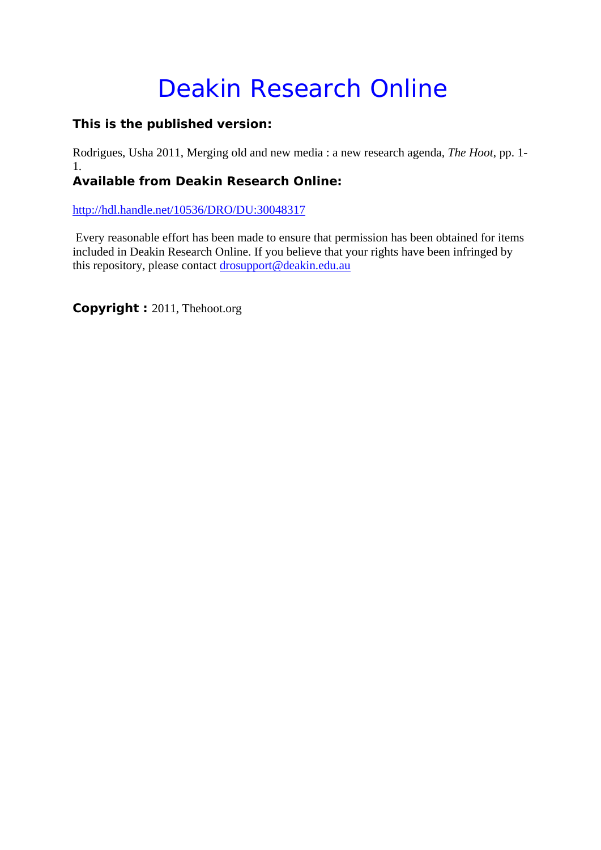# Deakin Research Online

## **This is the published version:**

Rodrigues, Usha 2011, Merging old and new media : a new research agenda*, The Hoot*, pp. 1- 1.

## **Available from Deakin Research Online:**

http://hdl.handle.net/10536/DRO/DU:30048317

 Every reasonable effort has been made to ensure that permission has been obtained for items included in Deakin Research Online. If you believe that your rights have been infringed by this repository, please contact drosupport@deakin.edu.au

**Copyright :** 2011, Thehoot.org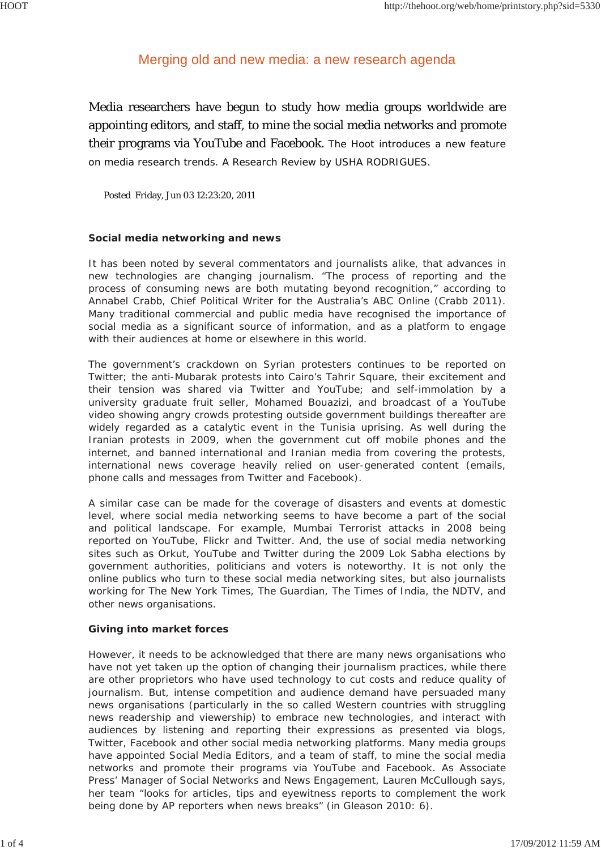### Merging old and new media: a new research agenda

Media researchers have begun to study how media groups worldwide are appointing editors, and staff, to mine the social media networks and promote their programs via YouTube and Facebook. The Hoot introduces a new feature on media research trends. A Research Review by USHA RODRIGUES.

Posted Friday, Jun 03 12:23:20, 2011

#### **Social media networking and news**

It has been noted by several commentators and journalists alike, that advances in new technologies are changing journalism. "The process of reporting and the process of consuming news are both mutating beyond recognition," according to Annabel Crabb, Chief Political Writer for the Australia's ABC Online (Crabb 2011). Many traditional commercial and public media have recognised the importance of social media as a significant source of information, and as a platform to engage with their audiences at home or elsewhere in this world.

The government's crackdown on Syrian protesters continues to be reported on Twitter; the anti-Mubarak protests into Cairo's Tahrir Square, their excitement and their tension was shared via Twitter and YouTube; and self-immolation by a university graduate fruit seller, Mohamed Bouazizi, and broadcast of a YouTube video showing angry crowds protesting outside government buildings thereafter are widely regarded as a catalytic event in the Tunisia uprising. As well during the Iranian protests in 2009, when the government cut off mobile phones and the internet, and banned international and Iranian media from covering the protests, international news coverage heavily relied on user-generated content (emails, phone calls and messages from Twitter and Facebook).

A similar case can be made for the coverage of disasters and events at domestic level, where social media networking seems to have become a part of the social and political landscape. For example, Mumbai Terrorist attacks in 2008 being reported on YouTube, Flickr and Twitter. And, the use of social media networking sites such as Orkut, YouTube and Twitter during the 2009 Lok Sabha elections by government authorities, politicians and voters is noteworthy. It is not only the online publics who turn to these social media networking sites, but also journalists working for *The New York Times*, *The Guardian*, *The Times of India*, the *NDTV*, and other news organisations.

#### **Giving into market forces**

However, it needs to be acknowledged that there are many news organisations who have not yet taken up the option of changing their journalism practices, while there are other proprietors who have used technology to cut costs and reduce quality of journalism. But, intense competition and audience demand have persuaded many news organisations (particularly in the so called Western countries with struggling news readership and viewership) to embrace new technologies, and interact with audiences by listening and reporting their expressions as presented via blogs, Twitter, Facebook and other social media networking platforms. Many media groups have appointed Social Media Editors, and a team of staff, to mine the social media networks and promote their programs via YouTube and Facebook. As Associate Press' Manager of Social Networks and News Engagement, Lauren McCullough says, her team "looks for articles, tips and eyewitness reports to complement the work being done by AP reporters when news breaks" (in Gleason 2010: 6).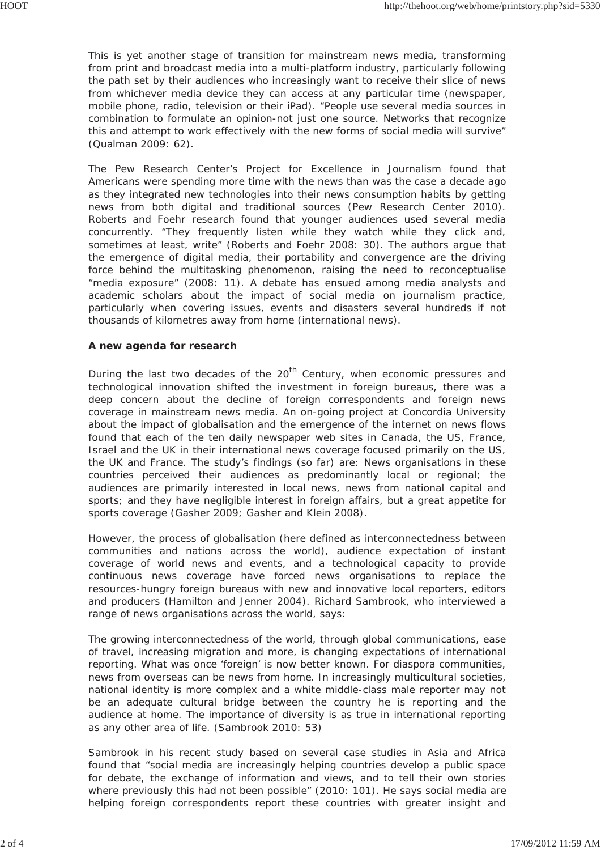This is yet another stage of transition for mainstream news media, transforming from print and broadcast media into a multi-platform industry, particularly following the path set by their audiences who increasingly want to receive their slice of news from whichever media device they can access at any particular time (newspaper, mobile phone, radio, television or their iPad). "People use several media sources in combination to formulate an opinion-not just one source. Networks that recognize this and attempt to work effectively with the new forms of social media will survive" (Qualman 2009: 62).

The Pew Research Center's Project for Excellence in Journalism found that Americans were spending more time with the news than was the case a decade ago as they integrated new technologies into their news consumption habits by getting news from both digital and traditional sources (Pew Research Center 2010). Roberts and Foehr research found that younger audiences used several media concurrently. "They frequently listen while they watch while they click and, sometimes at least, write" (Roberts and Foehr 2008: 30). The authors argue that the emergence of digital media, their portability and convergence are the driving force behind the multitasking phenomenon, raising the need to reconceptualise "media exposure" (2008: 11). A debate has ensued among media analysts and academic scholars about the impact of social media on journalism practice, particularly when covering issues, events and disasters several hundreds if not thousands of kilometres away from home (international news).

#### **A new agenda for research**

During the last two decades of the  $20<sup>th</sup>$  Century, when economic pressures and technological innovation shifted the investment in foreign bureaus, there was a deep concern about the decline of foreign correspondents and foreign news coverage in mainstream news media. An on-going project at Concordia University about the impact of globalisation and the emergence of the internet on news flows found that each of the ten daily newspaper web sites in Canada, the US, France, Israel and the UK in their international news coverage focused primarily on the US, the UK and France. The study's findings (so far) are: News organisations in these countries perceived their audiences as predominantly local or regional; the audiences are primarily interested in local news, news from national capital and sports; and they have negligible interest in foreign affairs, but a great appetite for sports coverage (Gasher 2009; Gasher and Klein 2008).

However, the process of globalisation (here defined as interconnectedness between communities and nations across the world), audience expectation of instant coverage of world news and events, and a technological capacity to provide continuous news coverage have forced news organisations to replace the resources-hungry foreign bureaus with new and innovative local reporters, editors and producers (Hamilton and Jenner 2004). Richard Sambrook, who interviewed a range of news organisations across the world, says:

The growing interconnectedness of the world, through global communications, ease of travel, increasing migration and more, is changing expectations of international reporting. What was once 'foreign' is now better known. For diaspora communities, news from overseas can be news from home. In increasingly multicultural societies, national identity is more complex and a white middle-class male reporter may not be an adequate cultural bridge between the country he is reporting and the audience at home. The importance of diversity is as true in international reporting as any other area of life. (Sambrook 2010: 53)

Sambrook in his recent study based on several case studies in Asia and Africa found that "social media are increasingly helping countries develop a public space for debate, the exchange of information and views, and to tell their own stories where previously this had not been possible" (2010: 101). He says social media are helping foreign correspondents report these countries with greater insight and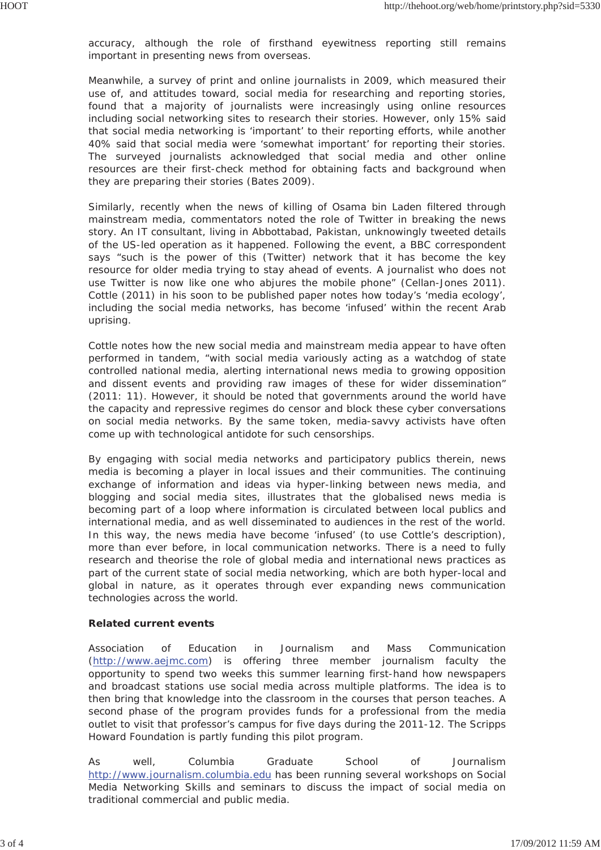accuracy, although the role of firsthand eyewitness reporting still remains important in presenting news from overseas.

Meanwhile, a survey of print and online journalists in 2009, which measured their use of, and attitudes toward, social media for researching and reporting stories, found that a majority of journalists were increasingly using online resources including social networking sites to research their stories. However, only 15% said that social media networking is 'important' to their reporting efforts, while another 40% said that social media were 'somewhat important' for reporting their stories. The surveyed journalists acknowledged that social media and other online resources are their first-check method for obtaining facts and background when they are preparing their stories (Bates 2009).

Similarly, recently when the news of killing of Osama bin Laden filtered through mainstream media, commentators noted the role of Twitter in breaking the news story. An IT consultant, living in Abbottabad, Pakistan, unknowingly tweeted details of the US-led operation as it happened. Following the event, a BBC correspondent says "such is the power of this (Twitter) network that it has become the key resource for older media trying to stay ahead of events. A journalist who does not use Twitter is now like one who abjures the mobile phone" (Cellan-Jones 2011). Cottle (2011) in his soon to be published paper notes how today's 'media ecology', including the social media networks, has become 'infused' within the recent Arab uprising.

Cottle notes how the new social media and mainstream media appear to have often performed in tandem, "with social media variously acting as a watchdog of state controlled national media, alerting international news media to growing opposition and dissent events and providing raw images of these for wider dissemination" (2011: 11). However, it should be noted that governments around the world have the capacity and repressive regimes do censor and block these cyber conversations on social media networks. By the same token, media-savvy activists have often come up with technological antidote for such censorships.

By engaging with social media networks and participatory publics therein, news media is becoming a player in local issues and their communities. The continuing exchange of information and ideas via hyper-linking between news media, and blogging and social media sites, illustrates that the globalised news media is becoming part of a loop where information is circulated between local publics and international media, and as well disseminated to audiences in the rest of the world. In this way, the news media have become 'infused' (to use Cottle's description), more than ever before, in local communication networks. There is a need to fully research and theorise the role of global media and international news practices as part of the current state of social media networking, which are both hyper-local and global in nature, as it operates through ever expanding news communication technologies across the world.

#### **Related current events**

Association of Education in Journalism and Mass Communication (http://www.aejmc.com) is offering three member journalism faculty the opportunity to spend two weeks this summer learning first-hand how newspapers and broadcast stations use social media across multiple platforms. The idea is to then bring that knowledge into the classroom in the courses that person teaches. A second phase of the program provides funds for a professional from the media outlet to visit that professor's campus for five days during the 2011-12. The Scripps Howard Foundation is partly funding this pilot program.

As well, Columbia Graduate School of Journalism http://www.journalism.columbia.edu has been running several workshops on Social Media Networking Skills and seminars to discuss the impact of social media on traditional commercial and public media.